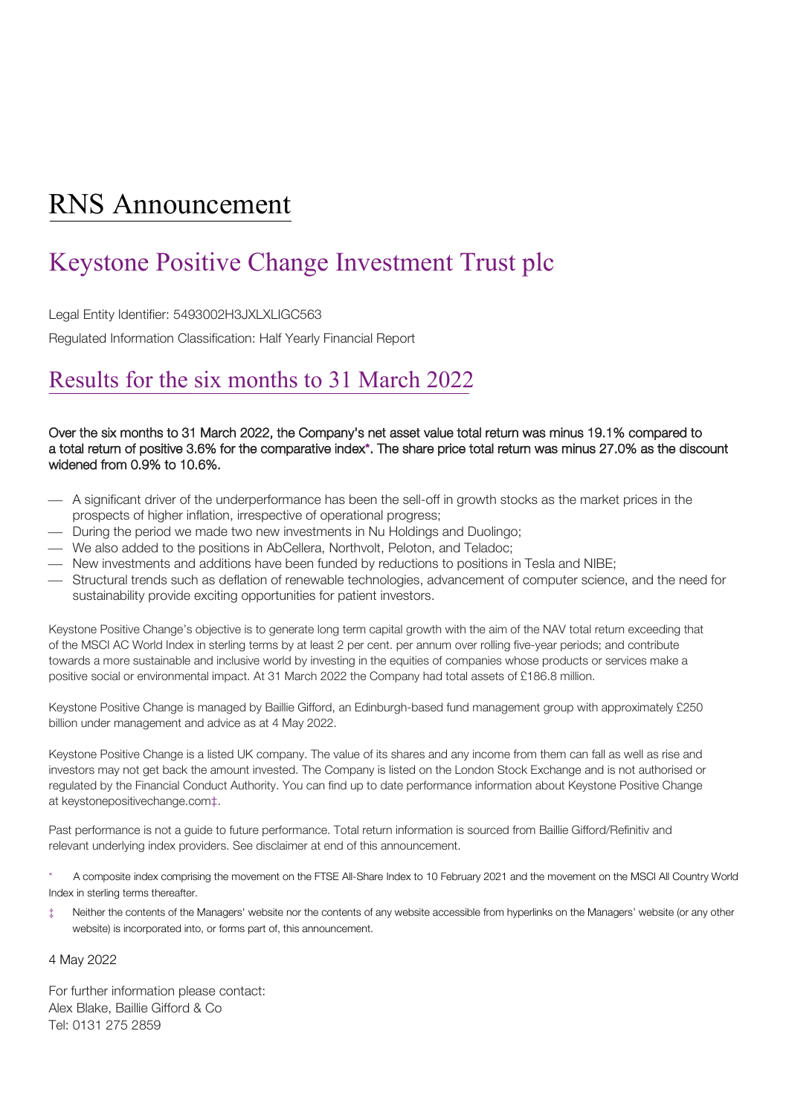# RNS Announcement

# Keystone Positive Change Investment Trust plc

Legal Entity Identifier: 5493002H3JXLXLIGC563

Regulated Information Classification: Half Yearly Financial Report

### Results for the six months to 31 March 2022

### Over the six months to 31 March 2022, the Company's net asset value total return was minus 19.1% compared to a total return of positive 3.6% for the comparative index\*. The share price total return was minus 27.0% as the discount widened from 0.9% to 10.6%.

- A significant driver of the underperformance has been the sell-off in growth stocks as the market prices in the prospects of higher inflation, irrespective of operational progress;
- During the period we made two new investments in Nu Holdings and Duolingo;
- We also added to the positions in AbCellera, Northvolt, Peloton, and Teladoc;
- New investments and additions have been funded by reductions to positions in Tesla and NIBE;
- Structural trends such as deflation of renewable technologies, advancement of computer science, and the need for sustainability provide exciting opportunities for patient investors.

Keystone Positive Change's objective is to generate long term capital growth with the aim of the NAV total return exceeding that of the MSCI AC World Index in sterling terms by at least 2 per cent. per annum over rolling five-year periods; and contribute towards a more sustainable and inclusive world by investing in the equities of companies whose products or services make a positive social or environmental impact. At 31 March 2022 the Company had total assets of £186.8 million.

Keystone Positive Change is managed by Baillie Gifford, an Edinburgh-based fund management group with approximately £250 billion under management and advice as at 4 May 2022.

Keystone Positive Change is a listed UK company. The value of its shares and any income from them can fall as well as rise and investors may not get back the amount invested. The Company is listed on the London Stock Exchange and is not authorised or regulated by the Financial Conduct Authority. You can find up to date performance information about Keystone Positive Change a[t keystonepositivechange.com‡](file://ad.bailliegifford.com/dfsroot/data/groups/InvTrust/Board%20Papers/Preliminary%20announcements/Keystone/2022/keystonepositivechange.com).

Past performance is not a guide to future performance. Total return information is sourced from Baillie Gifford/Refinitiv and relevant underlying index providers. See disclaimer at end of this announcement.

\* A composite index comprising the movement on the FTSE All-Share Index to 10 February 2021 and the movement on the MSCI All Country World Index in sterling terms thereafter.

Neither the contents of the Managers' website nor the contents of any website accessible from hyperlinks on the Managers' website (or any other website) is incorporated into, or forms part of, this announcement.

### 4 May 2022

For further information please contact: Alex Blake, Baillie Gifford & Co Tel: 0131 275 2859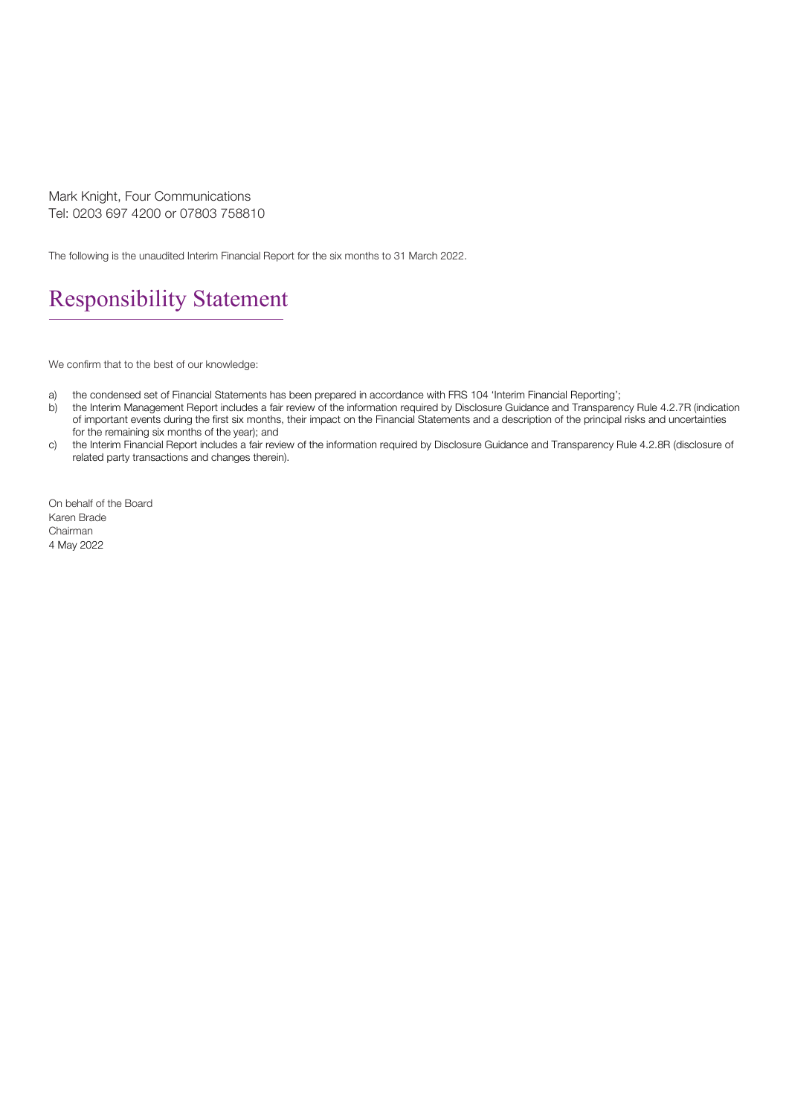Mark Knight, Four Communications Tel: 0203 697 4200 or 07803 758810

The following is the unaudited Interim Financial Report for the six months to 31 March 2022.

### Responsibility Statement

We confirm that to the best of our knowledge:

- a) the condensed set of Financial Statements has been prepared in accordance with FRS 104 'Interim Financial Reporting';
- b) the Interim Management Report includes a fair review of the information required by Disclosure Guidance and Transparency Rule 4.2.7R (indication of important events during the first six months, their impact on the Financial Statements and a description of the principal risks and uncertainties for the remaining six months of the year); and
- c) the Interim Financial Report includes a fair review of the information required by Disclosure Guidance and Transparency Rule 4.2.8R (disclosure of related party transactions and changes therein).

On behalf of the Board Karen Brade Chairman 4 May 2022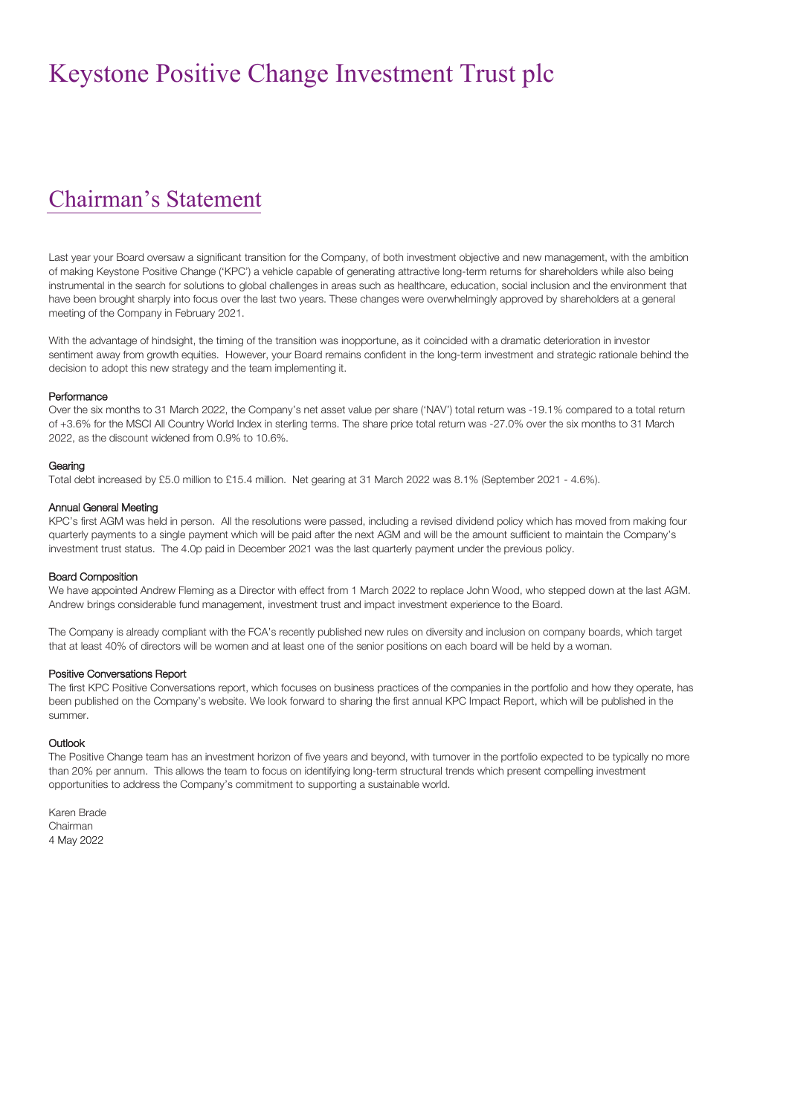### Chairman's Statement

Last year your Board oversaw a significant transition for the Company, of both investment objective and new management, with the ambition of making Keystone Positive Change ('KPC') a vehicle capable of generating attractive long-term returns for shareholders while also being instrumental in the search for solutions to global challenges in areas such as healthcare, education, social inclusion and the environment that have been brought sharply into focus over the last two years. These changes were overwhelmingly approved by shareholders at a general meeting of the Company in February 2021.

With the advantage of hindsight, the timing of the transition was inopportune, as it coincided with a dramatic deterioration in investor sentiment away from growth equities. However, your Board remains confident in the long-term investment and strategic rationale behind the decision to adopt this new strategy and the team implementing it.

#### Performance

Over the six months to 31 March 2022, the Company's net asset value per share ('NAV') total return was -19.1% compared to a total return of +3.6% for the MSCI All Country World Index in sterling terms. The share price total return was -27.0% over the six months to 31 March 2022, as the discount widened from 0.9% to 10.6%.

#### Gearing

Total debt increased by £5.0 million to £15.4 million. Net gearing at 31 March 2022 was 8.1% (September 2021 - 4.6%).

#### Annual General Meeting

KPC's first AGM was held in person. All the resolutions were passed, including a revised dividend policy which has moved from making four quarterly payments to a single payment which will be paid after the next AGM and will be the amount sufficient to maintain the Company's investment trust status. The 4.0p paid in December 2021 was the last quarterly payment under the previous policy.

#### Board Composition

We have appointed Andrew Fleming as a Director with effect from 1 March 2022 to replace John Wood, who stepped down at the last AGM. Andrew brings considerable fund management, investment trust and impact investment experience to the Board.

The Company is already compliant with the FCA's recently published new rules on diversity and inclusion on company boards, which target that at least 40% of directors will be women and at least one of the senior positions on each board will be held by a woman.

#### Positive Conversations Report

The first KPC Positive Conversations report, which focuses on business practices of the companies in the portfolio and how they operate, has been published on the Company's website. We look forward to sharing the first annual KPC Impact Report, which will be published in the summer.

#### Outlook

The Positive Change team has an investment horizon of five years and beyond, with turnover in the portfolio expected to be typically no more than 20% per annum. This allows the team to focus on identifying long-term structural trends which present compelling investment opportunities to address the Company's commitment to supporting a sustainable world.

Karen Brade Chairman 4 May 2022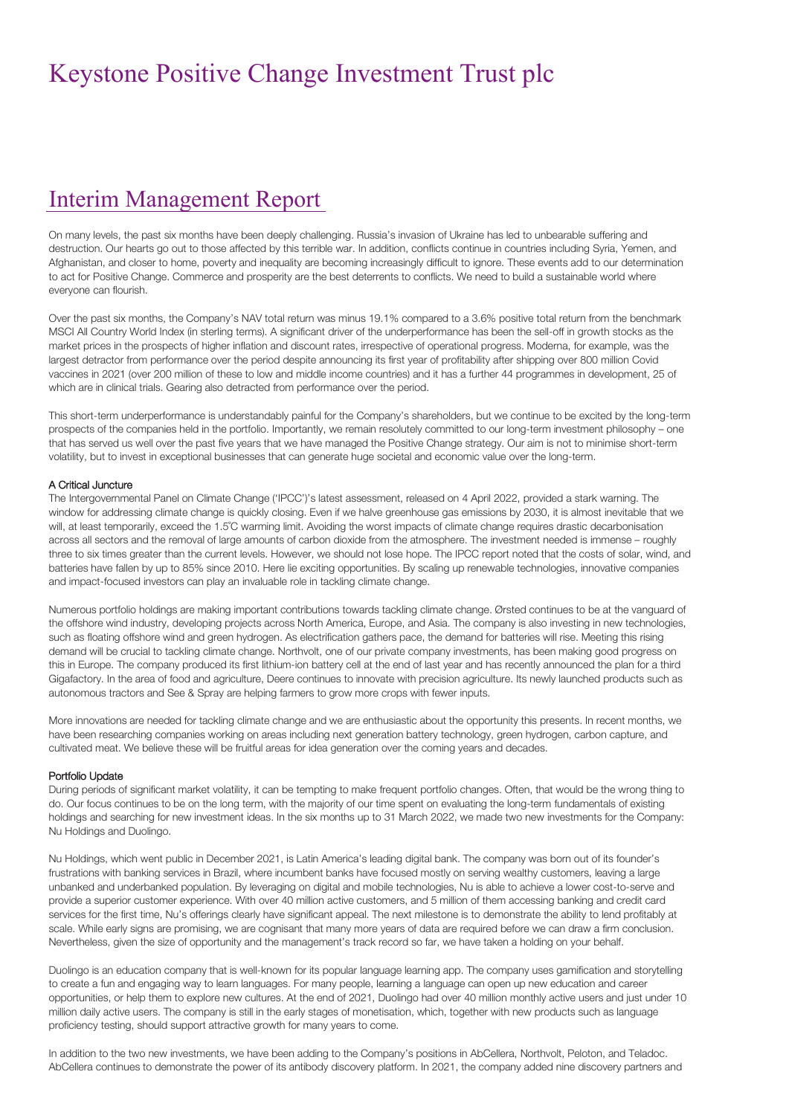### Interim Management Report

On many levels, the past six months have been deeply challenging. Russia's invasion of Ukraine has led to unbearable suffering and destruction. Our hearts go out to those affected by this terrible war. In addition, conflicts continue in countries including Syria, Yemen, and Afghanistan, and closer to home, poverty and inequality are becoming increasingly difficult to ignore. These events add to our determination to act for Positive Change. Commerce and prosperity are the best deterrents to conflicts. We need to build a sustainable world where everyone can flourish.

Over the past six months, the Company's NAV total return was minus 19.1% compared to a 3.6% positive total return from the benchmark MSCI All Country World Index (in sterling terms). A significant driver of the underperformance has been the sell-off in growth stocks as the market prices in the prospects of higher inflation and discount rates, irrespective of operational progress. Moderna, for example, was the largest detractor from performance over the period despite announcing its first year of profitability after shipping over 800 million Covid vaccines in 2021 (over 200 million of these to low and middle income countries) and it has a further 44 programmes in development, 25 of which are in clinical trials. Gearing also detracted from performance over the period.

This short-term underperformance is understandably painful for the Company's shareholders, but we continue to be excited by the long-term prospects of the companies held in the portfolio. Importantly, we remain resolutely committed to our long-term investment philosophy – one that has served us well over the past five years that we have managed the Positive Change strategy. Our aim is not to minimise short-term volatility, but to invest in exceptional businesses that can generate huge societal and economic value over the long-term.

#### A Critical Juncture

The Intergovernmental Panel on Climate Change ('IPCC')'s latest assessment, released on 4 April 2022, provided a stark warning. The window for addressing climate change is quickly closing. Even if we halve greenhouse gas emissions by 2030, it is almost inevitable that we will, at least temporarily, exceed the 1.5˚C warming limit. Avoiding the worst impacts of climate change requires drastic decarbonisation across all sectors and the removal of large amounts of carbon dioxide from the atmosphere. The investment needed is immense – roughly three to six times greater than the current levels. However, we should not lose hope. The IPCC report noted that the costs of solar, wind, and batteries have fallen by up to 85% since 2010. Here lie exciting opportunities. By scaling up renewable technologies, innovative companies and impact-focused investors can play an invaluable role in tackling climate change.

Numerous portfolio holdings are making important contributions towards tackling climate change. Ørsted continues to be at the vanguard of the offshore wind industry, developing projects across North America, Europe, and Asia. The company is also investing in new technologies, such as floating offshore wind and green hydrogen. As electrification gathers pace, the demand for batteries will rise. Meeting this rising demand will be crucial to tackling climate change. Northvolt, one of our private company investments, has been making good progress on this in Europe. The company produced its first lithium-ion battery cell at the end of last year and has recently announced the plan for a third Gigafactory. In the area of food and agriculture, Deere continues to innovate with precision agriculture. Its newly launched products such as autonomous tractors and See & Spray are helping farmers to grow more crops with fewer inputs.

More innovations are needed for tackling climate change and we are enthusiastic about the opportunity this presents. In recent months, we have been researching companies working on areas including next generation battery technology, green hydrogen, carbon capture, and cultivated meat. We believe these will be fruitful areas for idea generation over the coming years and decades.

#### Portfolio Update

During periods of significant market volatility, it can be tempting to make frequent portfolio changes. Often, that would be the wrong thing to do. Our focus continues to be on the long term, with the majority of our time spent on evaluating the long-term fundamentals of existing holdings and searching for new investment ideas. In the six months up to 31 March 2022, we made two new investments for the Company: Nu Holdings and Duolingo.

Nu Holdings, which went public in December 2021, is Latin America's leading digital bank. The company was born out of its founder's frustrations with banking services in Brazil, where incumbent banks have focused mostly on serving wealthy customers, leaving a large unbanked and underbanked population. By leveraging on digital and mobile technologies, Nu is able to achieve a lower cost-to-serve and provide a superior customer experience. With over 40 million active customers, and 5 million of them accessing banking and credit card services for the first time, Nu's offerings clearly have significant appeal. The next milestone is to demonstrate the ability to lend profitably at scale. While early signs are promising, we are cognisant that many more years of data are required before we can draw a firm conclusion. Nevertheless, given the size of opportunity and the management's track record so far, we have taken a holding on your behalf.

Duolingo is an education company that is well-known for its popular language learning app. The company uses gamification and storytelling to create a fun and engaging way to learn languages. For many people, learning a language can open up new education and career opportunities, or help them to explore new cultures. At the end of 2021, Duolingo had over 40 million monthly active users and just under 10 million daily active users. The company is still in the early stages of monetisation, which, together with new products such as language proficiency testing, should support attractive growth for many years to come.

In addition to the two new investments, we have been adding to the Company's positions in AbCellera, Northvolt, Peloton, and Teladoc. AbCellera continues to demonstrate the power of its antibody discovery platform. In 2021, the company added nine discovery partners and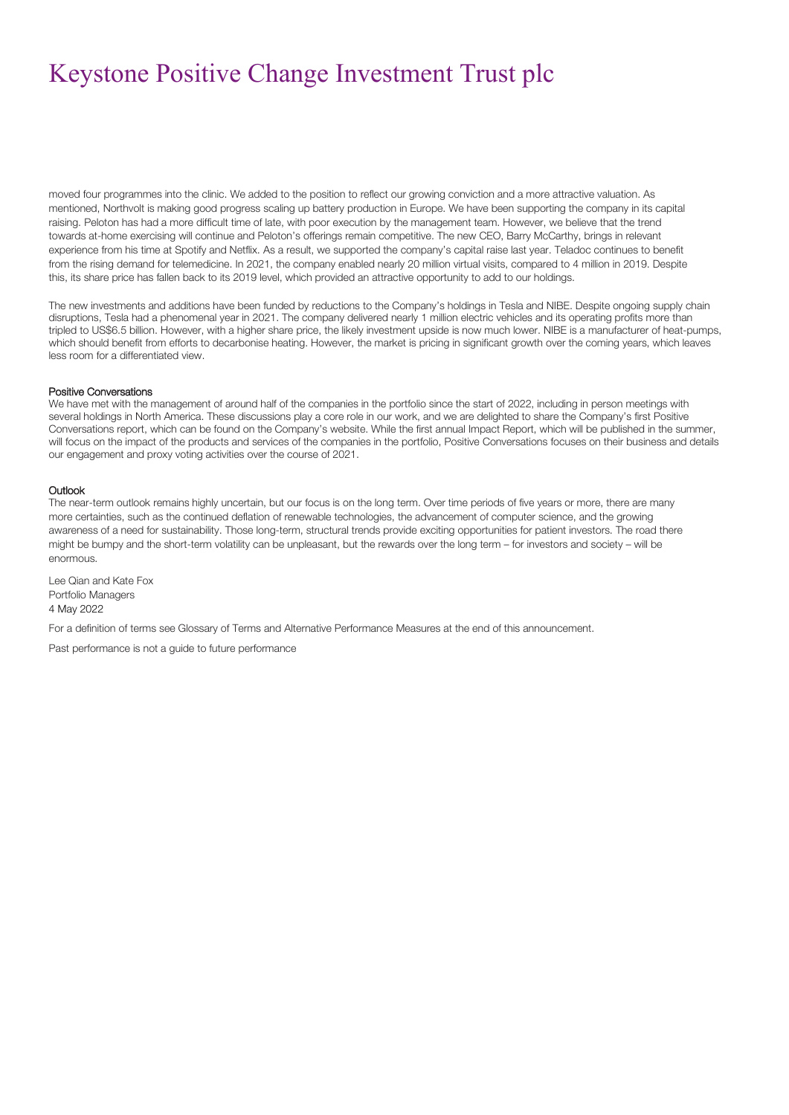moved four programmes into the clinic. We added to the position to reflect our growing conviction and a more attractive valuation. As mentioned, Northvolt is making good progress scaling up battery production in Europe. We have been supporting the company in its capital raising. Peloton has had a more difficult time of late, with poor execution by the management team. However, we believe that the trend towards at-home exercising will continue and Peloton's offerings remain competitive. The new CEO, Barry McCarthy, brings in relevant experience from his time at Spotify and Netflix. As a result, we supported the company's capital raise last year. Teladoc continues to benefit from the rising demand for telemedicine. In 2021, the company enabled nearly 20 million virtual visits, compared to 4 million in 2019. Despite this, its share price has fallen back to its 2019 level, which provided an attractive opportunity to add to our holdings.

The new investments and additions have been funded by reductions to the Company's holdings in Tesla and NIBE. Despite ongoing supply chain disruptions, Tesla had a phenomenal year in 2021. The company delivered nearly 1 million electric vehicles and its operating profits more than tripled to US\$6.5 billion. However, with a higher share price, the likely investment upside is now much lower. NIBE is a manufacturer of heat-pumps, which should benefit from efforts to decarbonise heating. However, the market is pricing in significant growth over the coming years, which leaves less room for a differentiated view.

#### Positive Conversations

We have met with the management of around half of the companies in the portfolio since the start of 2022, including in person meetings with several holdings in North America. These discussions play a core role in our work, and we are delighted to share the Company's first Positive Conversations report, which can be found on the Company's website. While the first annual Impact Report, which will be published in the summer, will focus on the impact of the products and services of the companies in the portfolio, Positive Conversations focuses on their business and details our engagement and proxy voting activities over the course of 2021.

#### **Outlook**

The near-term outlook remains highly uncertain, but our focus is on the long term. Over time periods of five years or more, there are many more certainties, such as the continued deflation of renewable technologies, the advancement of computer science, and the growing awareness of a need for sustainability. Those long-term, structural trends provide exciting opportunities for patient investors. The road there might be bumpy and the short-term volatility can be unpleasant, but the rewards over the long term – for investors and society – will be enormous.

Lee Qian and Kate Fox Portfolio Managers 4 May 2022

For a definition of terms see Glossary of Terms and Alternative Performance Measures at the end of this announcement.

Past performance is not a guide to future performance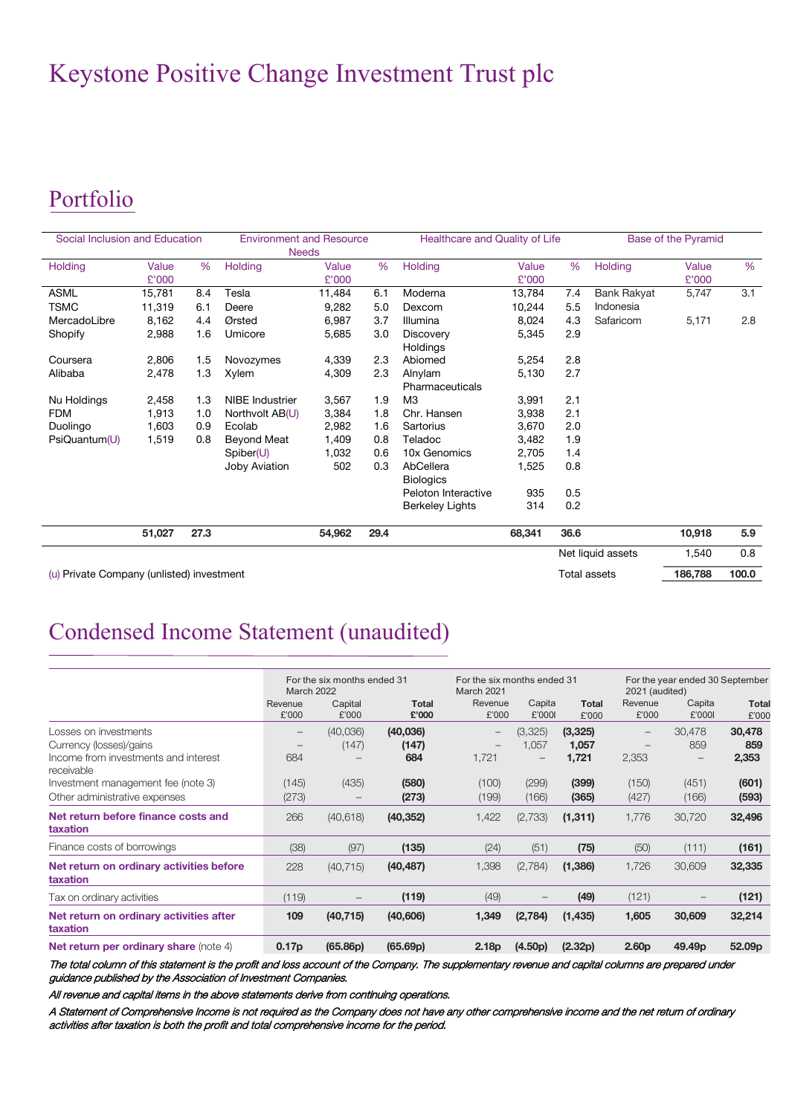## Portfolio

| Social Inclusion and Education            |                |      | <b>Environment and Resource</b><br><b>Needs</b> |                |      | Healthcare and Quality of Life |                |      |                     | <b>Base of the Pyramid</b> |       |
|-------------------------------------------|----------------|------|-------------------------------------------------|----------------|------|--------------------------------|----------------|------|---------------------|----------------------------|-------|
| <b>Holding</b>                            | Value<br>£'000 | %    | Holding                                         | Value<br>£'000 | %    | Holding                        | Value<br>£'000 | %    | Holding             | Value<br>£'000             | %     |
| ASML                                      | 15,781         | 8.4  | Tesla                                           | 11,484         | 6.1  | Moderna                        | 13,784         | 7.4  | <b>Bank Rakyat</b>  | 5,747                      | 3.1   |
| <b>TSMC</b>                               | 11,319         | 6.1  | Deere                                           | 9,282          | 5.0  | Dexcom                         | 10,244         | 5.5  | Indonesia           |                            |       |
| MercadoLibre                              | 8,162          | 4.4  | Ørsted                                          | 6,987          | 3.7  | Illumina                       | 8,024          | 4.3  | Safaricom           | 5,171                      | 2.8   |
| Shopify                                   | 2,988          | 1.6  | Umicore                                         | 5,685          | 3.0  | Discovery<br>Holdings          | 5,345          | 2.9  |                     |                            |       |
| Coursera                                  | 2,806          | 1.5  | Novozymes                                       | 4,339          | 2.3  | Abiomed                        | 5,254          | 2.8  |                     |                            |       |
| Alibaba                                   | 2,478          | 1.3  | Xylem                                           | 4,309          | 2.3  | Alnylam<br>Pharmaceuticals     | 5,130          | 2.7  |                     |                            |       |
| Nu Holdings                               | 2,458          | 1.3  | NIBE Industrier                                 | 3,567          | 1.9  | M <sub>3</sub>                 | 3,991          | 2.1  |                     |                            |       |
| <b>FDM</b>                                | 1,913          | 1.0  | Northvolt AB(U)                                 | 3,384          | 1.8  | Chr. Hansen                    | 3,938          | 2.1  |                     |                            |       |
| Duolingo                                  | 1,603          | 0.9  | Ecolab                                          | 2,982          | 1.6  | Sartorius                      | 3,670          | 2.0  |                     |                            |       |
| PsiQuantum(U)                             | 1,519          | 0.8  | Beyond Meat                                     | 1,409          | 0.8  | Teladoc                        | 3,482          | 1.9  |                     |                            |       |
|                                           |                |      | Spiber(U)                                       | 1,032          | 0.6  | 10x Genomics                   | 2,705          | 1.4  |                     |                            |       |
|                                           |                |      | <b>Joby Aviation</b>                            | 502            | 0.3  | AbCellera<br><b>Biologics</b>  | 1,525          | 0.8  |                     |                            |       |
|                                           |                |      |                                                 |                |      | Peloton Interactive            | 935            | 0.5  |                     |                            |       |
|                                           |                |      |                                                 |                |      | <b>Berkeley Lights</b>         | 314            | 0.2  |                     |                            |       |
|                                           | 51,027         | 27.3 |                                                 | 54,962         | 29.4 |                                | 68,341         | 36.6 |                     | 10,918                     | 5.9   |
|                                           |                |      |                                                 |                |      |                                |                |      | Net liquid assets   | 1,540                      | 0.8   |
| (u) Private Company (unlisted) investment |                |      |                                                 |                |      |                                |                |      | <b>Total assets</b> | 186,788                    | 100.0 |

Condensed Income Statement (unaudited)

|                                                                                                        | For the six months ended 31<br><b>March 2022</b> |                   |                          | For the six months ended 31<br>March 2021                     |                  |                           | For the year ended 30 September<br>2021 (audited)                           |                                           |                        |
|--------------------------------------------------------------------------------------------------------|--------------------------------------------------|-------------------|--------------------------|---------------------------------------------------------------|------------------|---------------------------|-----------------------------------------------------------------------------|-------------------------------------------|------------------------|
|                                                                                                        | Revenue<br>£'000                                 | Capital<br>£'000  | Total<br>£'000           | Revenue<br>£'000                                              | Capita<br>£'0001 | <b>Total</b><br>£'000     | Revenue<br>£'000                                                            | Capita<br>£'0001                          | <b>Total</b><br>£'000  |
| Losses on investments<br>Currency (losses)/gains<br>Income from investments and interest<br>receivable | $-$<br>684                                       | (40,036)<br>(147) | (40,036)<br>(147)<br>684 | $\overline{\phantom{m}}$<br>$\overline{\phantom{m}}$<br>1,721 | (3,325)<br>1,057 | (3,325)<br>1,057<br>1,721 | $\hspace{0.1mm}-\hspace{0.1mm}$<br>$\hspace{0.1mm}-\hspace{0.1mm}$<br>2,353 | 30.478<br>859<br>$\overline{\phantom{m}}$ | 30,478<br>859<br>2,353 |
| Investment management fee (note 3)<br>Other administrative expenses                                    | (145)<br>(273)                                   | (435)             | (580)<br>(273)           | (100)<br>(199)                                                | (299)<br>(166)   | (399)<br>(365)            | (150)<br>(427)                                                              | (451)<br>(166)                            | (601)<br>(593)         |
| Net return before finance costs and<br>taxation                                                        | 266                                              | (40, 618)         | (40, 352)                | 1,422                                                         | (2,733)          | (1, 311)                  | 1,776                                                                       | 30,720                                    | 32,496                 |
| Finance costs of borrowings                                                                            | (38)                                             | (97)              | (135)                    | (24)                                                          | (51)             | (75)                      | (50)                                                                        | (111)                                     | (161)                  |
| Net return on ordinary activities before<br>taxation                                                   | 228                                              | (40, 715)         | (40, 487)                | 1,398                                                         | (2,784)          | (1,386)                   | 1,726                                                                       | 30,609                                    | 32,335                 |
| Tax on ordinary activities                                                                             | (119)                                            | $\qquad \qquad -$ | (119)                    | (49)                                                          |                  | (49)                      | (121)                                                                       |                                           | (121)                  |
| Net return on ordinary activities after<br>taxation                                                    | 109                                              | (40, 715)         | (40, 606)                | 1,349                                                         | (2,784)          | (1, 435)                  | 1,605                                                                       | 30,609                                    | 32,214                 |
| Net return per ordinary share (note 4)                                                                 | 0.17p                                            | (65.86p)          | (65.69p)                 | 2.18 <sub>p</sub>                                             | (4.50p)          | (2.32p)                   | 2.60 <sub>p</sub>                                                           | 49.49 <sub>p</sub>                        | 52.09p                 |

The total column of this statement is the profit and loss account of the Company. The supplementary revenue and capital columns are prepared under guidance published by the Association of Investment Companies.

All revenue and capital items in the above statements derive from continuing operations.

A Statement of Comprehensive Income is not required as the Company does not have any other comprehensive income and the net return of ordinary activities after taxation is both the profit and total comprehensive income for the period.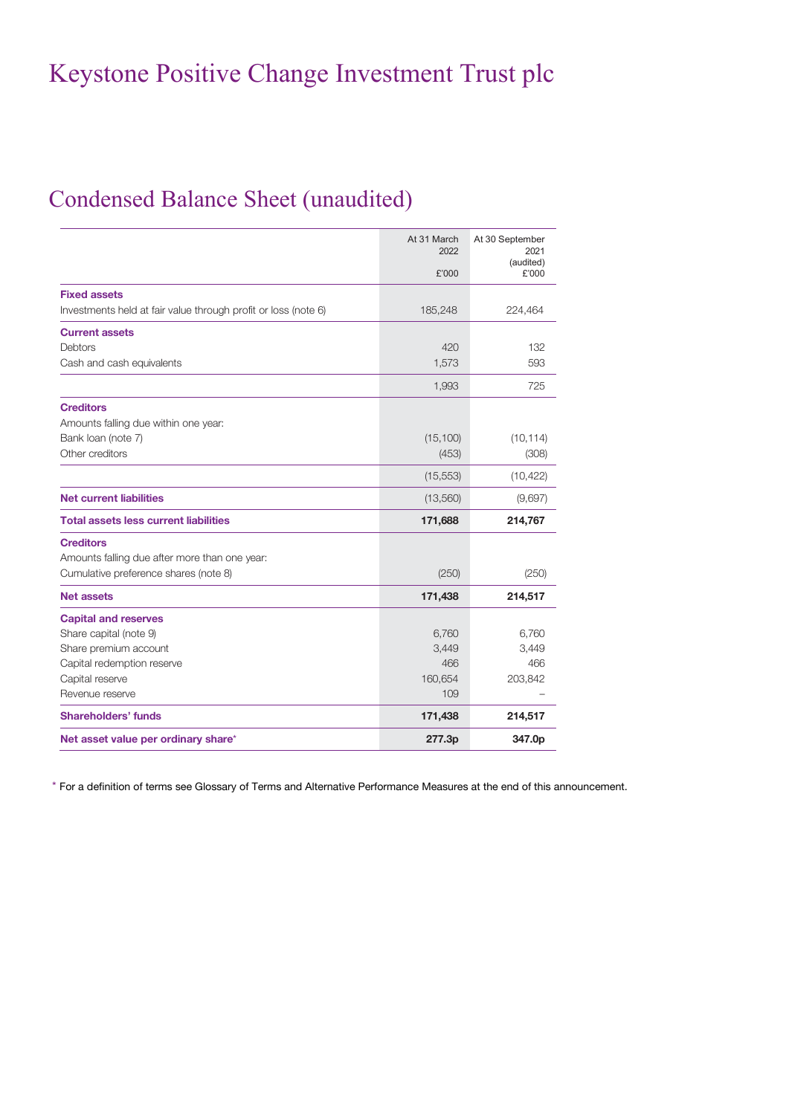### Condensed Balance Sheet (unaudited)

|                                                                | At 31 March<br>2022 | At 30 September<br>2021 |
|----------------------------------------------------------------|---------------------|-------------------------|
|                                                                | £'000               | (audited)<br>£'000      |
| <b>Fixed assets</b>                                            |                     |                         |
| Investments held at fair value through profit or loss (note 6) | 185,248             | 224,464                 |
| <b>Current assets</b>                                          |                     |                         |
| Debtors                                                        | 420                 | 132                     |
| Cash and cash equivalents                                      | 1,573               | 593                     |
|                                                                | 1,993               | 725                     |
| <b>Creditors</b>                                               |                     |                         |
| Amounts falling due within one year:                           |                     |                         |
| Bank loan (note 7)                                             | (15, 100)           | (10, 114)               |
| Other creditors                                                | (453)               | (308)                   |
|                                                                | (15, 553)           | (10, 422)               |
| <b>Net current liabilities</b>                                 | (13,560)            | (9,697)                 |
| <b>Total assets less current liabilities</b>                   | 171,688             | 214,767                 |
| <b>Creditors</b>                                               |                     |                         |
| Amounts falling due after more than one year:                  |                     |                         |
| Cumulative preference shares (note 8)                          | (250)               | (250)                   |
| <b>Net assets</b>                                              | 171,438             | 214,517                 |
| <b>Capital and reserves</b>                                    |                     |                         |
| Share capital (note 9)                                         | 6,760               | 6,760                   |
| Share premium account                                          | 3,449               | 3,449                   |
| Capital redemption reserve                                     | 466                 | 466                     |
| Capital reserve                                                | 160,654             | 203,842                 |
| Revenue reserve                                                | 109                 |                         |
| <b>Shareholders' funds</b>                                     | 171,438             | 214,517                 |
| Net asset value per ordinary share*                            | 277.3p              | 347.0p                  |

\* For a definition of terms see Glossary of Terms and Alternative Performance Measures at the end of this announcement.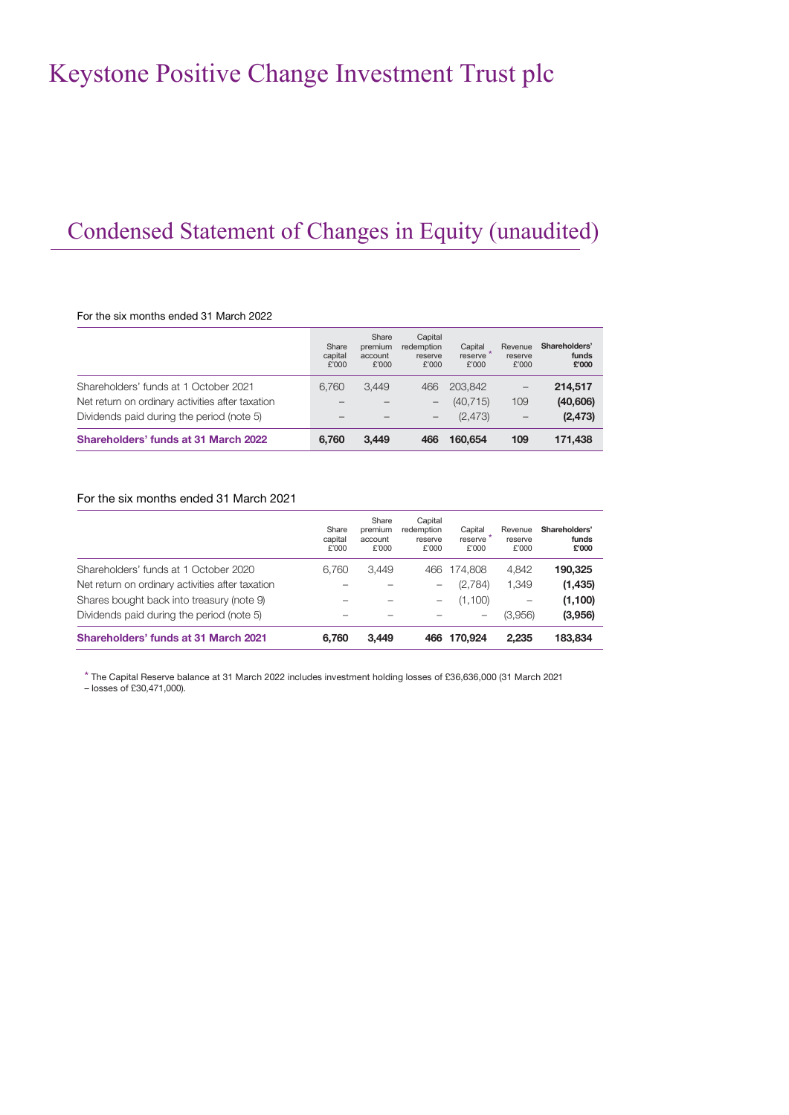## Condensed Statement of Changes in Equity (unaudited)

#### For the six months ended 31 March 2022

|                                                  | Share<br>capital<br>£'000 | Share<br>premium<br>account<br>£'000 | Capital<br>redemption<br>reserve<br>£'000 | Capital<br>reserve<br>£'000 | Revenue<br>reserve<br>£'000 | Shareholders'<br>funds<br>£'000 |
|--------------------------------------------------|---------------------------|--------------------------------------|-------------------------------------------|-----------------------------|-----------------------------|---------------------------------|
| Shareholders' funds at 1 October 2021            | 6.760                     | 3.449                                | 466                                       | 203.842                     |                             | 214,517                         |
| Net return on ordinary activities after taxation |                           |                                      |                                           | (40.715)                    | 109                         | (40, 606)                       |
| Dividends paid during the period (note 5)        |                           |                                      |                                           | (2.473)                     | $\qquad \qquad -$           | (2, 473)                        |
| Shareholders' funds at 31 March 2022             | 6.760                     | 3.449                                | 466                                       | 160,654                     | 109                         | 171,438                         |

### For the six months ended 31 March 2021

|                                                  | Share<br>capital<br>£'000 | Share<br>premium<br>account<br>£'000 | Capital<br>redemption<br>reserve<br>£'000 | Capital<br>reserve<br>£'000 | Revenue<br>reserve<br>£'000 | Shareholders'<br>funds<br>£'000 |
|--------------------------------------------------|---------------------------|--------------------------------------|-------------------------------------------|-----------------------------|-----------------------------|---------------------------------|
| Shareholders' funds at 1 October 2020            | 6.760                     | 3.449                                | 466                                       | 174.808                     | 4.842                       | 190,325                         |
| Net return on ordinary activities after taxation |                           |                                      | $\overline{\phantom{0}}$                  | (2,784)                     | 1.349                       | (1, 435)                        |
| Shares bought back into treasury (note 9)        |                           |                                      | -                                         | (1,100)                     |                             | (1,100)                         |
| Dividends paid during the period (note 5)        |                           |                                      |                                           | -                           | (3.956)                     | (3,956)                         |
| Shareholders' funds at 31 March 2021             | 6.760                     | 3.449                                | 466                                       | 170.924                     | 2.235                       | 183,834                         |

\* The Capital Reserve balance at 31 March 2022 includes investment holding losses of £36,636,000 (31 March 2021

– losses of £30,471,000).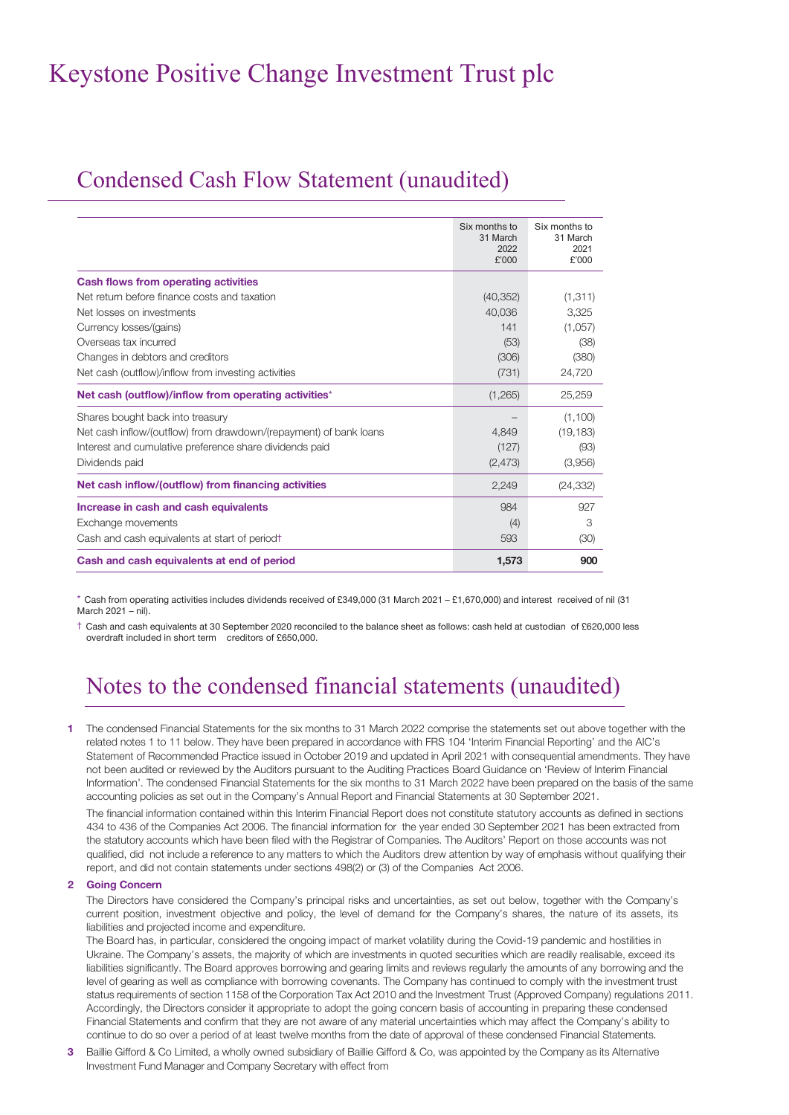### Condensed Cash Flow Statement (unaudited)

|                                                                   | Six months to<br>31 March<br>2022<br>£'000 | Six months to<br>31 March<br>2021<br>£'000 |
|-------------------------------------------------------------------|--------------------------------------------|--------------------------------------------|
| <b>Cash flows from operating activities</b>                       |                                            |                                            |
| Net return before finance costs and taxation                      | (40, 352)                                  | (1, 311)                                   |
| Net losses on investments                                         | 40,036                                     | 3.325                                      |
| Currency losses/(gains)                                           | 141                                        | (1,057)                                    |
| Overseas tax incurred                                             | (53)                                       | (38)                                       |
| Changes in debtors and creditors                                  | (306)                                      | (380)                                      |
| Net cash (outflow)/inflow from investing activities               | (731)                                      | 24,720                                     |
| Net cash (outflow)/inflow from operating activities*              | (1,265)                                    | 25,259                                     |
| Shares bought back into treasury                                  |                                            | (1,100)                                    |
| Net cash inflow/(outflow) from drawdown/(repayment) of bank loans | 4,849                                      | (19, 183)                                  |
| Interest and cumulative preference share dividends paid           | (127)                                      | (93)                                       |
| Dividends paid                                                    | (2, 473)                                   | (3,956)                                    |
| Net cash inflow/(outflow) from financing activities               | 2,249                                      | (24, 332)                                  |
| Increase in cash and cash equivalents                             | 984                                        | 927                                        |
| Exchange movements                                                | (4)                                        | 3                                          |
| Cash and cash equivalents at start of period                      | 593                                        | (30)                                       |
| Cash and cash equivalents at end of period                        | 1,573                                      | 900                                        |

\* Cash from operating activities includes dividends received of £349,000 (31 March 2021 – £1,670,000) and interest received of nil (31 March 2021 – nil).

† Cash and cash equivalents at 30 September 2020 reconciled to the balance sheet as follows: cash held at custodian of £620,000 less overdraft included in short term creditors of £650,000.

## Notes to the condensed financial statements (unaudited)

**1** The condensed Financial Statements for the six months to 31 March 2022 comprise the statements set out above together with the related notes 1 to 11 below. They have been prepared in accordance with FRS 104 'Interim Financial Reporting' and the AIC's Statement of Recommended Practice issued in October 2019 and updated in April 2021 with consequential amendments. They have not been audited or reviewed by the Auditors pursuant to the Auditing Practices Board Guidance on 'Review of Interim Financial Information'. The condensed Financial Statements for the six months to 31 March 2022 have been prepared on the basis of the same accounting policies as set out in the Company's Annual Report and Financial Statements at 30 September 2021.

The financial information contained within this Interim Financial Report does not constitute statutory accounts as defined in sections 434 to 436 of the Companies Act 2006. The financial information for the year ended 30 September 2021 has been extracted from the statutory accounts which have been filed with the Registrar of Companies. The Auditors' Report on those accounts was not qualified, did not include a reference to any matters to which the Auditors drew attention by way of emphasis without qualifying their report, and did not contain statements under sections 498(2) or (3) of the Companies Act 2006.

#### **2 Going Concern**

The Directors have considered the Company's principal risks and uncertainties, as set out below, together with the Company's current position, investment objective and policy, the level of demand for the Company's shares, the nature of its assets, its liabilities and projected income and expenditure.

The Board has, in particular, considered the ongoing impact of market volatility during the Covid-19 pandemic and hostilities in Ukraine. The Company's assets, the majority of which are investments in quoted securities which are readily realisable, exceed its liabilities significantly. The Board approves borrowing and gearing limits and reviews regularly the amounts of any borrowing and the level of gearing as well as compliance with borrowing covenants. The Company has continued to comply with the investment trust status requirements of section 1158 of the Corporation Tax Act 2010 and the Investment Trust (Approved Company) regulations 2011. Accordingly, the Directors consider it appropriate to adopt the going concern basis of accounting in preparing these condensed Financial Statements and confirm that they are not aware of any material uncertainties which may affect the Company's ability to continue to do so over a period of at least twelve months from the date of approval of these condensed Financial Statements.

**3** Baillie Gifford & Co Limited, a wholly owned subsidiary of Baillie Gifford & Co, was appointed by the Company as its Alternative Investment Fund Manager and Company Secretary with effect from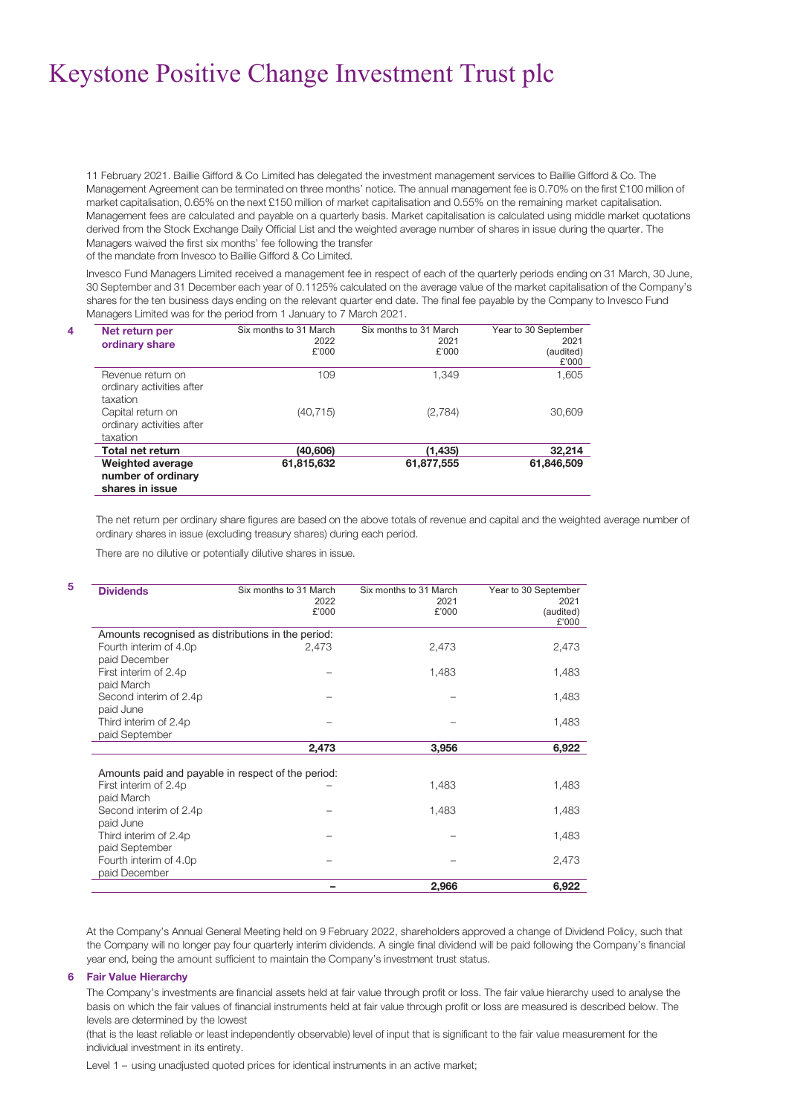11 February 2021. Baillie Gifford & Co Limited has delegated the investment management services to Baillie Gifford & Co. The Management Agreement can be terminated on three months' notice. The annual management fee is 0.70% on the first £100 million of market capitalisation, 0.65% on the next £150 million of market capitalisation and 0.55% on the remaining market capitalisation. Management fees are calculated and payable on a quarterly basis. Market capitalisation is calculated using middle market quotations derived from the Stock Exchange Daily Official List and the weighted average number of shares in issue during the quarter. The Managers waived the first six months' fee following the transfer

of the mandate from Invesco to Baillie Gifford & Co Limited.

Invesco Fund Managers Limited received a management fee in respect of each of the quarterly periods ending on 31 March, 30 June, 30 September and 31 December each year of 0.1125% calculated on the average value of the market capitalisation of the Company's shares for the ten business days ending on the relevant quarter end date. The final fee payable by the Company to Invesco Fund Managers Limited was for the period from 1 January to 7 March 2021.

| 4 | Net return per<br>ordinary share                           | Six months to 31 March<br>2022<br>£'000 | Six months to 31 March<br>2021<br>£'000 | Year to 30 September<br>2021<br>(audited)<br>£'000 |
|---|------------------------------------------------------------|-----------------------------------------|-----------------------------------------|----------------------------------------------------|
|   | Revenue return on<br>ordinary activities after<br>taxation | 109                                     | 1.349                                   | 1,605                                              |
|   | Capital return on<br>ordinary activities after<br>taxation | (40, 715)                               | (2,784)                                 | 30,609                                             |
|   | <b>Total net return</b>                                    | (40,606)                                | (1,435)                                 | 32,214                                             |
|   | Weighted average<br>number of ordinary<br>shares in issue  | 61,815,632                              | 61,877,555                              | 61,846,509                                         |

The net return per ordinary share figures are based on the above totals of revenue and capital and the weighted average number of ordinary shares in issue (excluding treasury shares) during each period.

There are no dilutive or potentially dilutive shares in issue.

| <b>Dividends</b>                                                                          | Six months to 31 March<br>2022<br>£'000 | Six months to 31 March<br>2021<br>£'000 | Year to 30 September<br>2021<br>(audited)<br>£'000 |
|-------------------------------------------------------------------------------------------|-----------------------------------------|-----------------------------------------|----------------------------------------------------|
| Amounts recognised as distributions in the period:                                        |                                         |                                         |                                                    |
| Fourth interim of 4.0p<br>paid December                                                   | 2,473                                   | 2,473                                   | 2,473                                              |
| First interim of 2.4p<br>paid March                                                       |                                         | 1,483                                   | 1,483                                              |
| Second interim of 2.4p<br>paid June                                                       |                                         |                                         | 1,483                                              |
| Third interim of 2.4p<br>paid September                                                   |                                         |                                         | 1,483                                              |
|                                                                                           | 2,473                                   | 3,956                                   | 6,922                                              |
| Amounts paid and payable in respect of the period:<br>First interim of 2.4p<br>paid March |                                         | 1,483                                   | 1,483                                              |
| Second interim of 2.4p<br>paid June                                                       |                                         | 1,483                                   | 1,483                                              |
| Third interim of 2.4p<br>paid September                                                   |                                         |                                         | 1,483                                              |
| Fourth interim of 4.0p<br>paid December                                                   |                                         |                                         | 2,473                                              |
|                                                                                           |                                         | 2,966                                   | 6,922                                              |

At the Company's Annual General Meeting held on 9 February 2022, shareholders approved a change of Dividend Policy, such that the Company will no longer pay four quarterly interim dividends. A single final dividend will be paid following the Company's financial year end, being the amount sufficient to maintain the Company's investment trust status.

#### **6 Fair Value Hierarchy**

**5**

The Company's investments are financial assets held at fair value through profit or loss. The fair value hierarchy used to analyse the basis on which the fair values of financial instruments held at fair value through profit or loss are measured is described below. The levels are determined by the lowest

(that is the least reliable or least independently observable) level of input that is significant to the fair value measurement for the individual investment in its entirety.

Level 1 – using unadjusted quoted prices for identical instruments in an active market;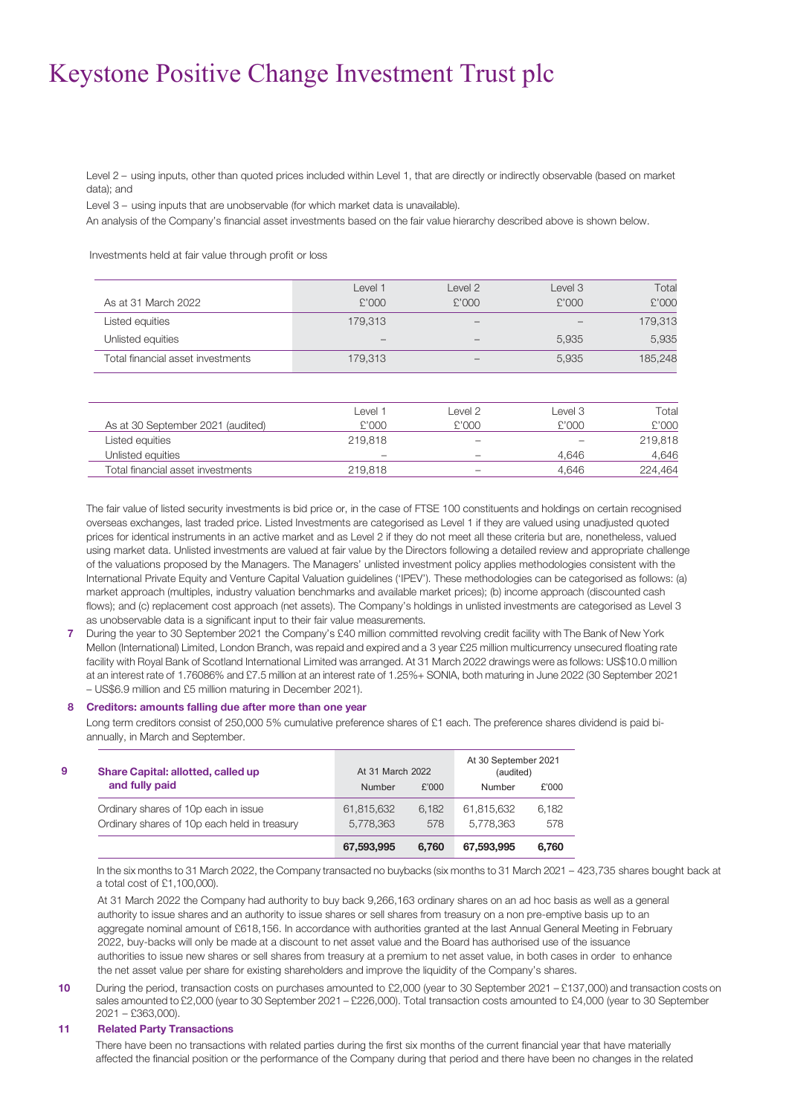Level 2 – using inputs, other than quoted prices included within Level 1, that are directly or indirectly observable (based on market data); and

Level 3 – using inputs that are unobservable (for which market data is unavailable).

An analysis of the Company's financial asset investments based on the fair value hierarchy described above is shown below.

Investments held at fair value through profit or loss

| As at 31 March 2022               | l evel 1<br>£'000        | Level 2<br>£'000         | level 3<br>£'000 | Total<br>£'000 |
|-----------------------------------|--------------------------|--------------------------|------------------|----------------|
| Listed equities                   | 179.313                  | $\overline{\phantom{a}}$ | $\sim$           | 179,313        |
| Unlisted equities                 | $\overline{\phantom{a}}$ |                          | 5.935            | 5,935          |
| Total financial asset investments | 179.313                  |                          | 5.935            | 185,248        |

|                                   | l evel 1                 | evel 2                   | l evel 3          | Total   |
|-----------------------------------|--------------------------|--------------------------|-------------------|---------|
| As at 30 September 2021 (audited) | £'000                    | £'000                    | £'000             | £'000   |
| Listed equities                   | 219.818                  | $\overline{\phantom{a}}$ | $\hspace{0.05cm}$ | 219,818 |
| Unlisted eauities                 | $\overline{\phantom{a}}$ | $\overline{\phantom{a}}$ | 4.646             | 4,646   |
| Total financial asset investments | 219,818                  | $\overline{\phantom{a}}$ | 4.646             | 224.464 |
|                                   |                          |                          |                   |         |

The fair value of listed security investments is bid price or, in the case of FTSE 100 constituents and holdings on certain recognised overseas exchanges, last traded price. Listed Investments are categorised as Level 1 if they are valued using unadjusted quoted prices for identical instruments in an active market and as Level 2 if they do not meet all these criteria but are, nonetheless, valued using market data. Unlisted investments are valued at fair value by the Directors following a detailed review and appropriate challenge of the valuations proposed by the Managers. The Managers' unlisted investment policy applies methodologies consistent with the International Private Equity and Venture Capital Valuation guidelines ('IPEV'). These methodologies can be categorised as follows: (a) market approach (multiples, industry valuation benchmarks and available market prices); (b) income approach (discounted cash flows); and (c) replacement cost approach (net assets). The Company's holdings in unlisted investments are categorised as Level 3 as unobservable data is a significant input to their fair value measurements.

**7** During the year to 30 September 2021 the Company's £40 million committed revolving credit facility with The Bank of New York Mellon (International) Limited, London Branch, was repaid and expired and a 3 year £25 million multicurrency unsecured floating rate facility with Royal Bank of Scotland International Limited was arranged. At 31 March 2022 drawings were as follows: US\$10.0 million at an interest rate of 1.76086% and £7.5 million at an interest rate of 1.25%+ SONIA, both maturing in June 2022 (30 September 2021 – US\$6.9 million and £5 million maturing in December 2021).

#### **8 Creditors: amounts falling due after more than one year**

Long term creditors consist of 250,000 5% cumulative preference shares of £1 each. The preference shares dividend is paid biannually, in March and September.

| Share Capital: allotted, called up           | At 31 March 2022 |       | At 30 September 2021<br>(audited) |       |
|----------------------------------------------|------------------|-------|-----------------------------------|-------|
| and fully paid                               | Number           | £'000 | Number                            | £'000 |
| Ordinary shares of 10p each in issue         | 61,815,632       | 6.182 | 61.815.632                        | 6.182 |
| Ordinary shares of 10p each held in treasury | 5,778,363        | 578   | 5.778.363                         | 578   |
|                                              | 67,593,995       | 6.760 | 67,593,995                        | 6.760 |

In the six months to 31 March 2022, the Company transacted no buybacks (six months to 31 March 2021 – 423,735 shares bought back at a total cost of £1,100,000).

At 31 March 2022 the Company had authority to buy back 9,266,163 ordinary shares on an ad hoc basis as well as a general authority to issue shares and an authority to issue shares or sell shares from treasury on a non pre-emptive basis up to an aggregate nominal amount of £618,156. In accordance with authorities granted at the last Annual General Meeting in February 2022, buy-backs will only be made at a discount to net asset value and the Board has authorised use of the issuance authorities to issue new shares or sell shares from treasury at a premium to net asset value, in both cases in order to enhance the net asset value per share for existing shareholders and improve the liquidity of the Company's shares.

**10** During the period, transaction costs on purchases amounted to £2,000 (year to 30 September 2021 – £137,000) and transaction costs on sales amounted to £2,000 (year to 30 September 2021 – £226,000). Total transaction costs amounted to £4,000 (year to 30 September 2021 – £363,000).

#### **11 Related Party Transactions**

There have been no transactions with related parties during the first six months of the current financial year that have materially affected the financial position or the performance of the Company during that period and there have been no changes in the related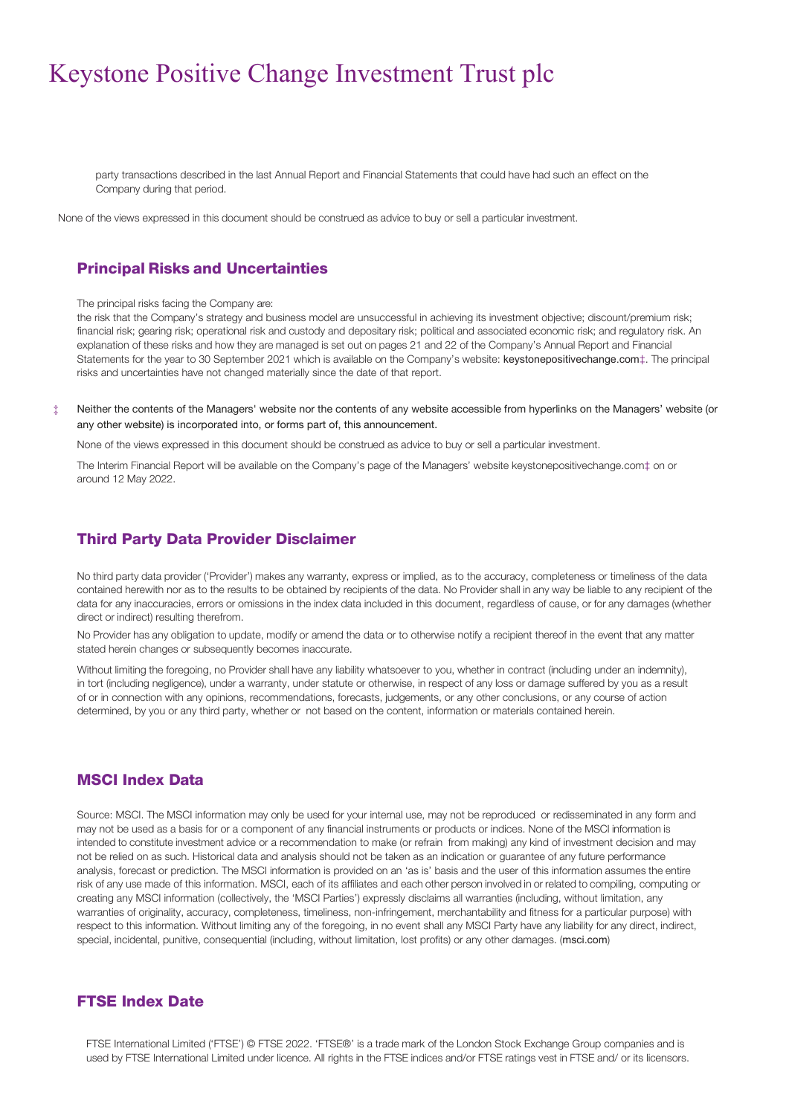party transactions described in the last Annual Report and Financial Statements that could have had such an effect on the Company during that period.

None of the views expressed in this document should be construed as advice to buy or sell a particular investment.

### Principal Risks and Uncertainties

The principal risks facing the Company are:

the risk that the Company's strategy and business model are unsuccessful in achieving its investment objective; discount/premium risk; financial risk; gearing risk; operational risk and custody and depositary risk; political and associated economic risk; and regulatory risk. An explanation of these risks and how they are managed is set out on pages 21 and 22 of the Company's Annual Report and Financial Statements for the year to 30 September 2021 which is available on the Company's website: keystonepositivechange.com‡. The principal risks and uncertainties have not changed materially since the date of that report.

‡ Neither the contents of the Managers' website nor the contents of any website accessible from hyperlinks on the Managers' website (or any other website) is incorporated into, or forms part of, this announcement.

None of the views expressed in this document should be construed as advice to buy or sell a particular investment.

The Interim Financial Report will be available on the Company's page of the Managers' websit[e keystonepositivechange.com‡](http://www.bgukgrowthfund.com/) on or around 12 May 2022.

### Third Party Data Provider Disclaimer

No third party data provider ('Provider') makes any warranty, express or implied, as to the accuracy, completeness or timeliness of the data contained herewith nor as to the results to be obtained by recipients of the data. No Provider shall in any way be liable to any recipient of the data for any inaccuracies, errors or omissions in the index data included in this document, regardless of cause, or for any damages (whether direct or indirect) resulting therefrom.

No Provider has any obligation to update, modify or amend the data or to otherwise notify a recipient thereof in the event that any matter stated herein changes or subsequently becomes inaccurate.

Without limiting the foregoing, no Provider shall have any liability whatsoever to you, whether in contract (including under an indemnity), in tort (including negligence), under a warranty, under statute or otherwise, in respect of any loss or damage suffered by you as a result of or in connection with any opinions, recommendations, forecasts, judgements, or any other conclusions, or any course of action determined, by you or any third party, whether or not based on the content, information or materials contained herein.

### MSCI Index Data

Source: MSCI. The MSCI information may only be used for your internal use, may not be reproduced or redisseminated in any form and may not be used as a basis for or a component of any financial instruments or products or indices. None of the MSCI information is intended to constitute investment advice or a recommendation to make (or refrain from making) any kind of investment decision and may not be relied on as such. Historical data and analysis should not be taken as an indication or guarantee of any future performance analysis, forecast or prediction. The MSCI information is provided on an 'as is' basis and the user of this information assumes the entire risk of any use made of this information. MSCI, each of its affiliates and each other person involved in or related to compiling, computing or creating any MSCI information (collectively, the 'MSCI Parties') expressly disclaims all warranties (including, without limitation, any warranties of originality, accuracy, completeness, timeliness, non-infringement, merchantability and fitness for a particular purpose) with respect to this information. Without limiting any of the foregoing, in no event shall any MSCI Party have any liability for any direct, indirect, special, incidental, punitive, consequential (including, without limitation, lost profits) or any other damages. (msci.com)

### FTSE Index Date

FTSE International Limited ('FTSE') © FTSE 2022. 'FTSE®' is a trade mark of the London Stock Exchange Group companies and is used by FTSE International Limited under licence. All rights in the FTSE indices and/or FTSE ratings vest in FTSE and/ or its licensors.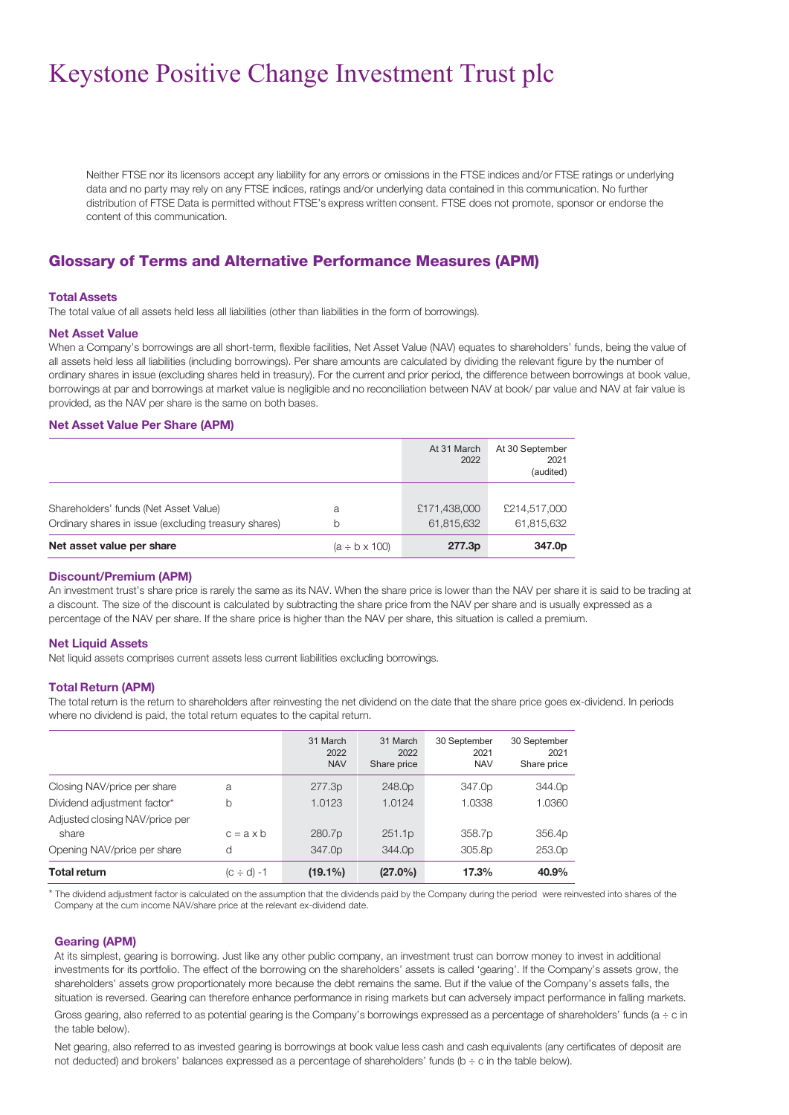Neither FTSE nor its licensors accept any liability for any errors or omissions in the FTSE indices and/or FTSE ratings or underlying data and no party may rely on any FTSE indices, ratings and/or underlying data contained in this communication. No further distribution of FTSE Data is permitted without FTSE's express written consent. FTSE does not promote, sponsor or endorse the content of this communication.

### Glossary of Terms and Alternative Performance Measures (APM)

#### **Total Assets**

The total value of all assets held less all liabilities (other than liabilities in the form of borrowings).

#### **Net Asset Value**

When a Company's borrowings are all short-term, flexible facilities, Net Asset Value (NAV) equates to shareholders' funds, being the value of all assets held less all liabilities (including borrowings). Per share amounts are calculated by dividing the relevant figure by the number of ordinary shares in issue (excluding shares held in treasury). For the current and prior period, the difference between borrowings at book value, borrowings at par and borrowings at market value is negligible and no reconciliation between NAV at book/ par value and NAV at fair value is provided, as the NAV per share is the same on both bases.

#### **Net Asset Value Per Share (APM)**

|                                                                                               |                         | At 31 March<br>2022        | At 30 September<br>2021<br>(audited) |
|-----------------------------------------------------------------------------------------------|-------------------------|----------------------------|--------------------------------------|
| Shareholders' funds (Net Asset Value)<br>Ordinary shares in issue (excluding treasury shares) | a<br>b                  | £171,438,000<br>61.815.632 | £214,517,000<br>61.815.632           |
| Net asset value per share                                                                     | $(a \div b \times 100)$ | 277.3p                     | 347.0p                               |

#### **Discount/Premium (APM)**

An investment trust's share price is rarely the same as its NAV. When the share price is lower than the NAV per share it is said to be trading at a discount. The size of the discount is calculated by subtracting the share price from the NAV per share and is usually expressed as a percentage of the NAV per share. If the share price is higher than the NAV per share, this situation is called a premium.

#### **Net Liquid Assets**

Net liquid assets comprises current assets less current liabilities excluding borrowings.

#### **Total Return (APM)**

The total return is the return to shareholders after reinvesting the net dividend on the date that the share price goes ex-dividend. In periods where no dividend is paid, the total return equates to the capital return.

|                                         |                  | 31 March<br>2022<br><b>NAV</b> | 31 March<br>2022<br>Share price | 30 September<br>2021<br><b>NAV</b> | 30 September<br>2021<br>Share price |
|-----------------------------------------|------------------|--------------------------------|---------------------------------|------------------------------------|-------------------------------------|
| Closing NAV/price per share             | a                | 277.3p                         | 248.0p                          | 347.0p                             | 344.0p                              |
| Dividend adjustment factor*             | b                | 1.0123                         | 1.0124                          | 1.0338                             | 1.0360                              |
| Adjusted closing NAV/price per<br>share | $c = a \times b$ | 280.7p                         | 251.1p                          | 358.7p                             | 356.4p                              |
| Opening NAV/price per share             | d                | 347.0 <sub>p</sub>             | 344.0 <sub>p</sub>              | 305.8 <sub>p</sub>                 | 253.0p                              |
| <b>Total return</b>                     | $(c \div d) - 1$ | $(19.1\%)$                     | $(27.0\%)$                      | 17.3%                              | 40.9%                               |

The dividend adjustment factor is calculated on the assumption that the dividends paid by the Company during the period were reinvested into shares of the Company at the cum income NAV/share price at the relevant ex-dividend date.

#### **Gearing (APM)**

At its simplest, gearing is borrowing. Just like any other public company, an investment trust can borrow money to invest in additional investments for its portfolio. The effect of the borrowing on the shareholders' assets is called 'gearing'. If the Company's assets grow, the shareholders' assets grow proportionately more because the debt remains the same. But if the value of the Company's assets falls, the situation is reversed. Gearing can therefore enhance performance in rising markets but can adversely impact performance in falling markets.

Gross gearing, also referred to as potential gearing is the Company's borrowings expressed as a percentage of shareholders' funds (a ÷ c in the table below).

Net gearing, also referred to as invested gearing is borrowings at book value less cash and cash equivalents (any certificates of deposit are not deducted) and brokers' balances expressed as a percentage of shareholders' funds (b ÷ c in the table below).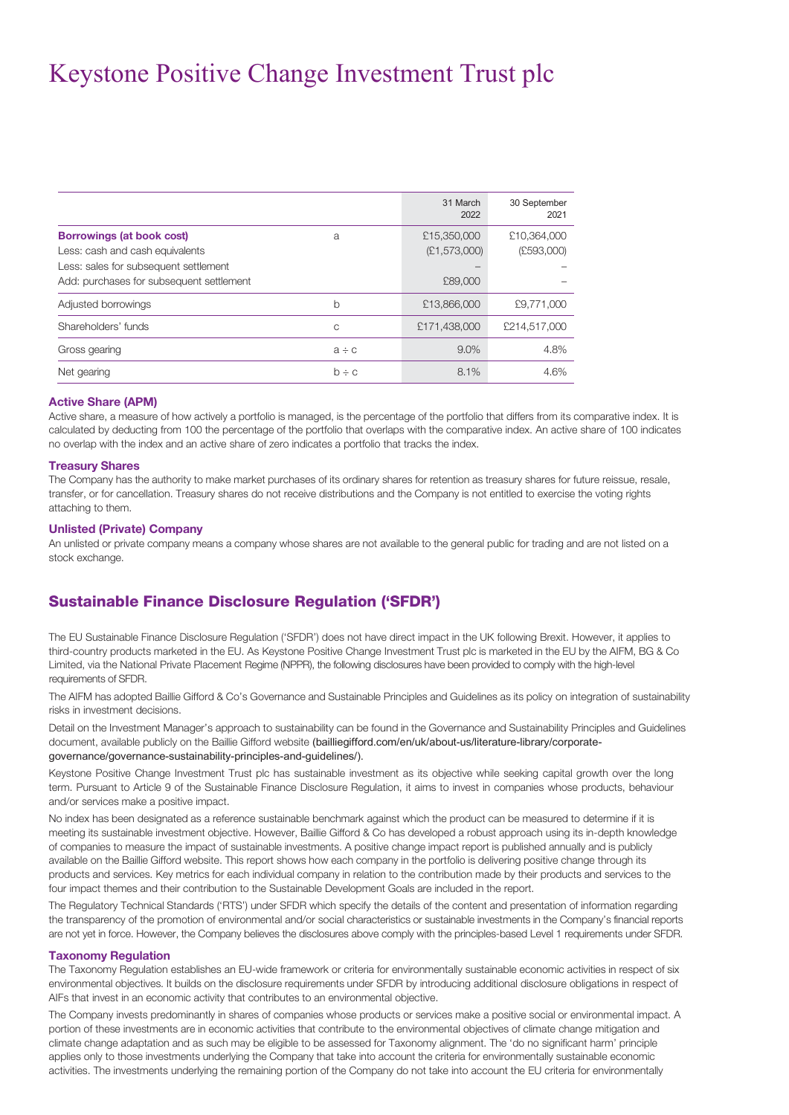|                                          |            | 31 March<br>2022 | 30 September<br>2021 |
|------------------------------------------|------------|------------------|----------------------|
| <b>Borrowings (at book cost)</b>         | a          | £15,350,000      | £10,364,000          |
| Less: cash and cash equivalents          |            | (E1, 573,000)    | (E593,000)           |
| Less: sales for subsequent settlement    |            |                  |                      |
| Add: purchases for subsequent settlement |            | £89,000          |                      |
| Adjusted borrowings                      | b          | £13,866,000      | £9,771,000           |
| Shareholders' funds                      | C          | £171,438,000     | £214,517,000         |
| Gross gearing                            | $a \div c$ | 9.0%             | 4.8%                 |
| Net gearing                              | $b \div c$ | 8.1%             | 4.6%                 |

#### **Active Share (APM)**

Active share, a measure of how actively a portfolio is managed, is the percentage of the portfolio that differs from its comparative index. It is calculated by deducting from 100 the percentage of the portfolio that overlaps with the comparative index. An active share of 100 indicates no overlap with the index and an active share of zero indicates a portfolio that tracks the index.

#### **Treasury Shares**

The Company has the authority to make market purchases of its ordinary shares for retention as treasury shares for future reissue, resale, transfer, or for cancellation. Treasury shares do not receive distributions and the Company is not entitled to exercise the voting rights attaching to them.

#### **Unlisted (Private) Company**

An unlisted or private company means a company whose shares are not available to the general public for trading and are not listed on a stock exchange.

### Sustainable Finance Disclosure Regulation ('SFDR')

The EU Sustainable Finance Disclosure Regulation ('SFDR') does not have direct impact in the UK following Brexit. However, it applies to third-country products marketed in the EU. As Keystone Positive Change Investment Trust plc is marketed in the EU by the AIFM, BG & Co Limited, via the National Private Placement Regime (NPPR), the following disclosures have been provided to comply with the high-level requirements of SFDR.

The AIFM has adopted Baillie Gifford & Co's Governance and Sustainable Principles and Guidelines as its policy on integration of sustainability risks in investment decisions.

Detail on the Investment Manager's approach to sustainability can be found in the Governance and Sustainability Principles and Guidelines document, available publicly on the Baillie Gifford website (bailliegifford.com/en/uk/about-us/literature-library/corporategovernance/governance-sustainability-principles-and-guidelines/).

Keystone Positive Change Investment Trust plc has sustainable investment as its objective while seeking capital growth over the long term. Pursuant to Article 9 of the Sustainable Finance Disclosure Regulation, it aims to invest in companies whose products, behaviour and/or services make a positive impact.

No index has been designated as a reference sustainable benchmark against which the product can be measured to determine if it is meeting its sustainable investment objective. However, Baillie Gifford & Co has developed a robust approach using its in-depth knowledge of companies to measure the impact of sustainable investments. A positive change impact report is published annually and is publicly available on the Baillie Gifford website. This report shows how each company in the portfolio is delivering positive change through its products and services. Key metrics for each individual company in relation to the contribution made by their products and services to the four impact themes and their contribution to the Sustainable Development Goals are included in the report.

The Regulatory Technical Standards ('RTS') under SFDR which specify the details of the content and presentation of information regarding the transparency of the promotion of environmental and/or social characteristics or sustainable investments in the Company's financial reports are not yet in force. However, the Company believes the disclosures above comply with the principles-based Level 1 requirements under SFDR.

#### **Taxonomy Regulation**

The Taxonomy Regulation establishes an EU-wide framework or criteria for environmentally sustainable economic activities in respect of six environmental objectives. It builds on the disclosure requirements under SFDR by introducing additional disclosure obligations in respect of AIFs that invest in an economic activity that contributes to an environmental objective.

The Company invests predominantly in shares of companies whose products or services make a positive social or environmental impact. A portion of these investments are in economic activities that contribute to the environmental objectives of climate change mitigation and climate change adaptation and as such may be eligible to be assessed for Taxonomy alignment. The 'do no significant harm' principle applies only to those investments underlying the Company that take into account the criteria for environmentally sustainable economic activities. The investments underlying the remaining portion of the Company do not take into account the EU criteria for environmentally